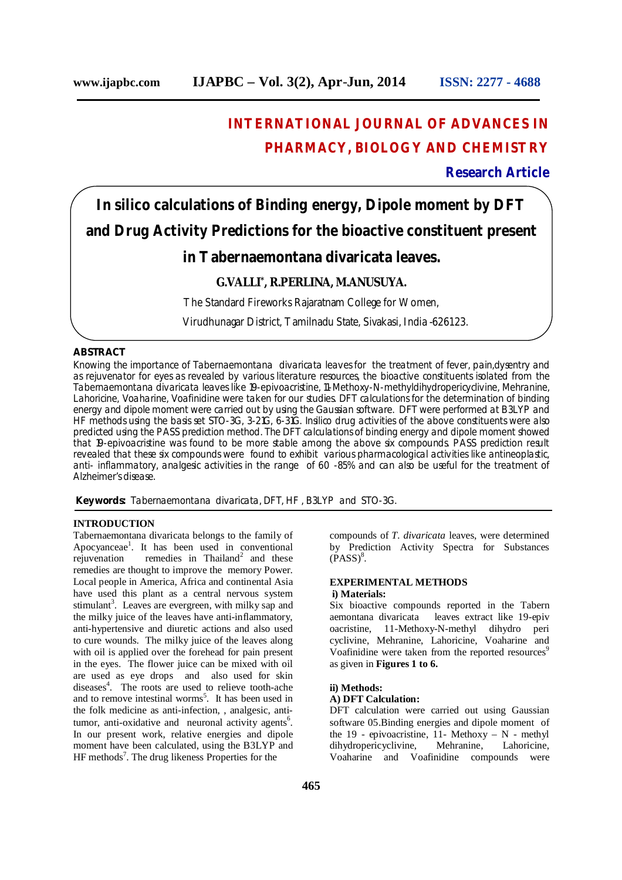## **INTERNATIONAL JOURNAL OF ADVANCES IN PHARMACY, BIOLOGY AND CHEMISTRY**

## **Research Article**

# **In silico calculations of Binding energy, Dipole moment by DFT and Drug Activity Predictions for the bioactive constituent present in Tabernaemontana divaricata leaves.**

## **G.VALLI\* , R.PERLINA, M.ANUSUYA.**

The Standard Fireworks Rajaratnam College for Women,

Virudhunagar District, Tamilnadu State, Sivakasi, India -626123.

## **ABSTRACT**

Knowing the importance of Tabernaemontana divaricata leaves for the treatment of fever, pain,dysentry and as rejuvenator for eyes as revealed by various literature resources, the bioactive constituents isolated from the Tabernaemontana divaricata leaves like 19-epivoacristine, 11-Methoxy-N-methyldihydropericyclivine, Mehranine, Lahoricine, Voaharine, Voafinidine were taken for our studies. DFT calculations for the determination of binding energy and dipole moment were carried out by using the Gaussian software. DFT were performed at B3LYP and HF methods using the basis set STO-3G, 3-21G, 6-31G. Insilico drug activities of the above constituents were also predicted using the PASS prediction method. The DFT calculations of binding energy and dipole moment showed that 19-epivoacristine was found to be more stable among the above six compounds. PASS prediction result revealed that these six compounds were found to exhibit various pharmacological activities like antineoplastic, anti- inflammatory, analgesic activities in the range of 60 -85% and can also be useful for the treatment of Alzheimer's disease.

**Keywords:** Tabernaemontana divaricata, DFT, HF , B3LYP and STO-3G.

## **INTRODUCTION**

Tabernaemontana divaricata belongs to the family of Apocyanceae<sup>1</sup>. It has been used in conventional rejuvenation remedies in Thailand<sup>2</sup> and these remedies are thought to improve the memory Power. Local people in America, Africa and continental Asia have used this plant as a central nervous system stimulant<sup>3</sup>. Leaves are evergreen, with milky sap and the milky juice of the leaves have anti-inflammatory, anti-hypertensive and diuretic actions and also used to cure wounds. The milky juice of the leaves along with oil is applied over the forehead for pain present in the eyes. The flower juice can be mixed with oil are used as eye drops and also used for skin diseases<sup>4</sup>. The roots are used to relieve tooth-ache and to remove intestinal worms<sup>5</sup>. It has been used in the folk medicine as anti-infection, , analgesic, antitumor, anti-oxidative and neuronal activity agents<sup>6</sup>. In our present work, relative energies and dipole moment have been calculated, using the B3LYP and HF methods<sup>7</sup>. The drug likeness Properties for the

compounds of *T. divaricata* leaves, were determined by Prediction Activity Spectra for Substances  $(PASS)^8$ .

## **EXPERIMENTAL METHODS i) Materials:**

Six bioactive compounds reported in the Tabern leaves extract like 19-epiv oacristine, 11-Methoxy-N-methyl dihydro peri cyclivine, Mehranine, Lahoricine, Voaharine and Voafinidine were taken from the reported resources<sup>9</sup> as given in **Figures 1 to 6.**

#### **ii) Methods:**

#### **A) DFT Calculation:**

DFT calculation were carried out using Gaussian software 05.Binding energies and dipole moment of the 19 - epivoacristine, 11- Methoxy – N - methyl dihydropericyclivine, Mehranine, Lahoricine, Voaharine and Voafinidine compounds were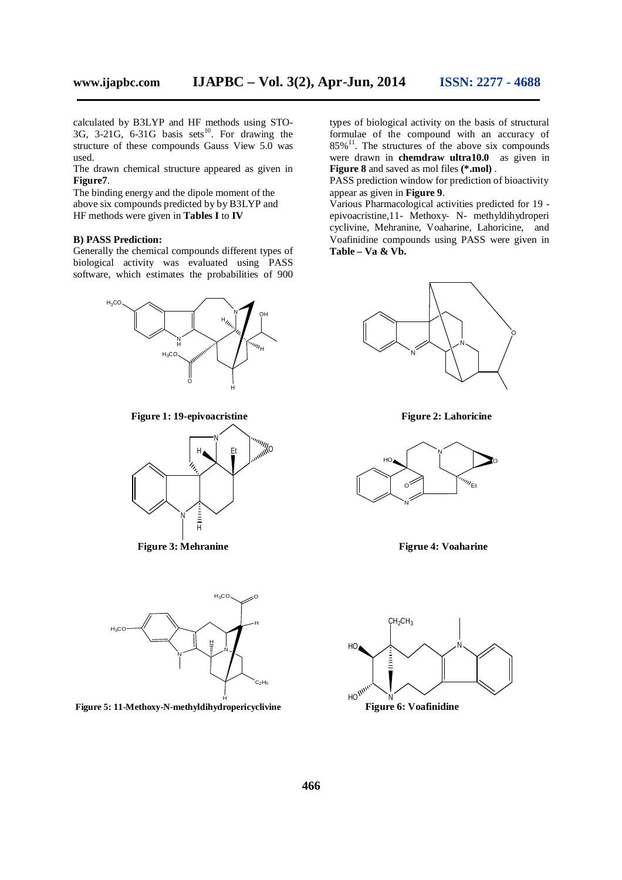calculated by B3LYP and HF methods using STO-3G, 3-21G, 6-31G basis sets $^{10}$ . For drawing the structure of these compounds Gauss View 5.0 was used.

The drawn chemical structure appeared as given in **Figure7**.

The binding energy and the dipole moment of the above six compounds predicted by by B3LYP and HF methods were given in **Tables I** to **IV**

#### **B) PASS Prediction:**

Generally the chemical compounds different types of biological activity was evaluated using PASS software, which estimates the probabilities of 900



**Figure 1: 19-epivoacristine Figure 2: Lahoricine**





types of biological activity on the basis of structural formulae of the compound with an accuracy of  $85\%$ <sup>11</sup>. The structures of the above six compounds were drawn in **chemdraw ultra10.0** as given in **Figure 8** and saved as mol files **(\*.mol)** .

PASS prediction window for prediction of bioactivity appear as given in **Figure 9**.

Various Pharmacological activities predicted for 19 epivoacristine,11- Methoxy- N- methyldihydroperi cyclivine, Mehranine, Voaharine, Lahoricine, and Voafinidine compounds using PASS were given in **Table – Va & Vb.**





 **Figure 3: Mehranine Figrue 4: Voaharine** 

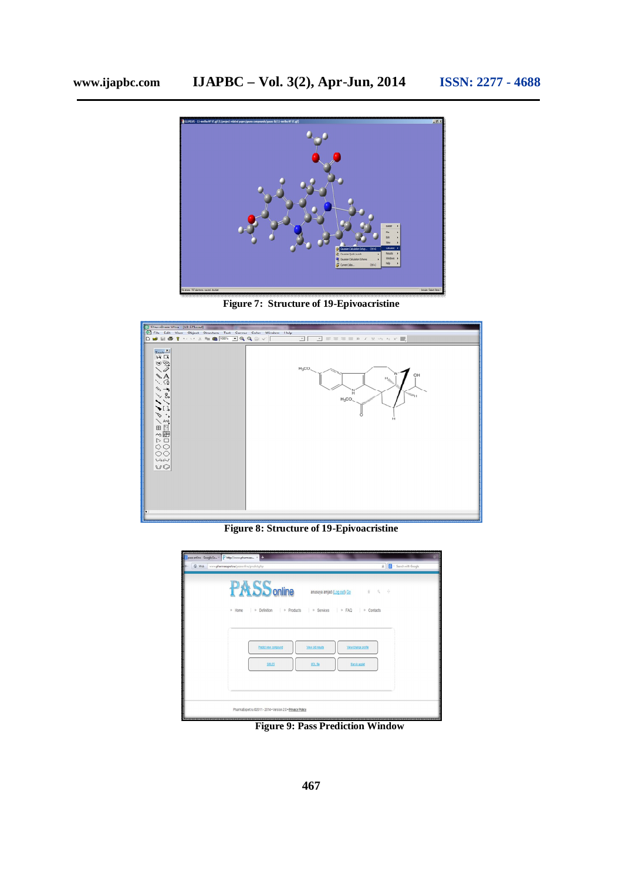

**Figure 7: Structure of 19-Epivoacristine**



**Figure 8: Structure of 19-Epivoacristine**

| Spass online - Google Se X Phttp://www.pharmaex X +<br>6 Web | www.pharmacypert.ru/passonline/predict.php                                                                      | Search with Google<br>$\frac{1}{2k}$                        |
|--------------------------------------------------------------|-----------------------------------------------------------------------------------------------------------------|-------------------------------------------------------------|
|                                                              | <b>PASS</b> online<br>anusuya amjad (Log out) Go<br>» Definition<br>» Services<br>» Home<br>» Products<br>» FAQ | $\hat{\Xi} \qquad \hat{\Xi} \qquad \hat{\Xi}$<br>» Contacts |
|                                                              | Predict new compound<br>View old results<br><b>SMLES</b><br>MOL file                                            | View/change profile<br>Marvin applet                        |
|                                                              | PharmaExpert ru @2011 - 2014 . Version 2.0 . Privacy Policy                                                     |                                                             |

**Figure 9: Pass Prediction Window**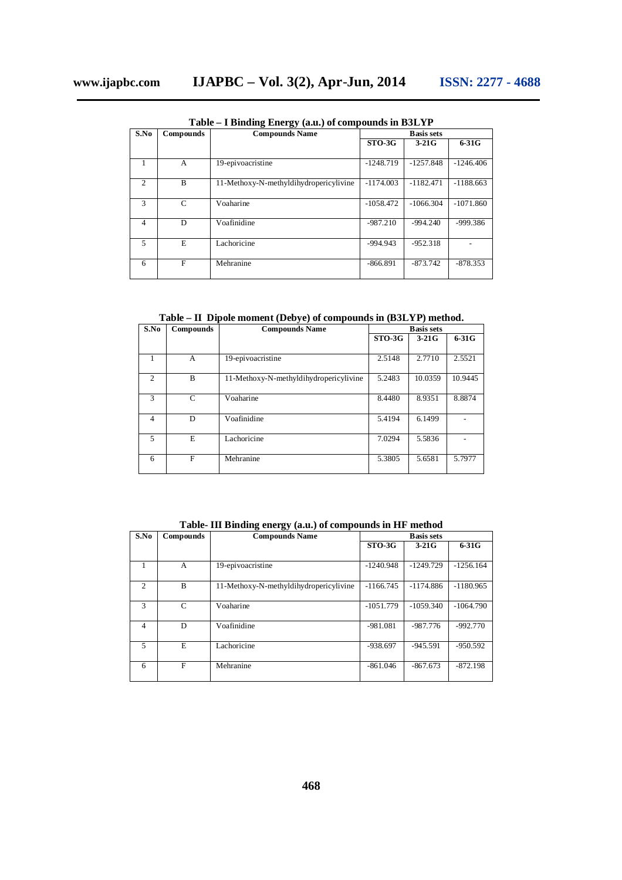| S.No           | <b>Compounds</b> | <b>Compounds Name</b>                  | <b>Basis sets</b> |             |             |
|----------------|------------------|----------------------------------------|-------------------|-------------|-------------|
|                |                  |                                        | $STO-3G$          | $3-21G$     | $6-31G$     |
|                | A                | 19-epivoacristine                      | $-1248.719$       | $-1257.848$ | $-1246.406$ |
| $\mathcal{L}$  | B                | 11-Methoxy-N-methyldihydropericylivine | $-1174.003$       | $-1182.471$ | $-1188.663$ |
| 3              | C                | Voaharine                              | $-1058.472$       | $-1066.304$ | $-1071.860$ |
| 4              | D                | Voafinidine                            | $-987.210$        | $-994.240$  | $-999.386$  |
| $\overline{5}$ | E                | Lachoricine                            | $-994.943$        | $-952.318$  |             |
| 6              | F                | Mehranine                              | $-866.891$        | $-873.742$  | $-878.353$  |

**Table – I Binding Energy (a.u.) of compounds in B3LYP**

**Table – II Dipole moment (Debye) of compounds in (B3LYP) method.**

| S.No                        | Compounds | <b>Compounds Name</b>                  | <b>Basis sets</b> |         |         |
|-----------------------------|-----------|----------------------------------------|-------------------|---------|---------|
|                             |           |                                        | $STO-3G$          | $3-21G$ | $6-31G$ |
|                             | A         | 19-epivoacristine                      | 2.5148            | 2.7710  | 2.5521  |
| $\mathcal{D}_{\mathcal{L}}$ | B         | 11-Methoxy-N-methyldihydropericylivine | 5.2483            | 10.0359 | 10.9445 |
| 3                           | C         | Voaharine                              | 8.4480            | 8.9351  | 8.8874  |
| 4                           | D         | Voafinidine                            | 5.4194            | 6.1499  |         |
| 5                           | E         | Lachoricine                            | 7.0294            | 5.5836  |         |
| 6                           | F         | Mehranine                              | 5.3805            | 5.6581  | 5.7977  |

**Table- III Binding energy (a.u.) of compounds in HF method** 

| S.No           | Compounds | <b>Compounds Name</b>                  | <b>Basis sets</b> |             |             |
|----------------|-----------|----------------------------------------|-------------------|-------------|-------------|
|                |           |                                        | $STO-3G$          | $3-21G$     | $6-31G$     |
|                | A         | 19-epivoacristine                      | $-1240.948$       | $-1249.729$ | $-1256.164$ |
| $\mathfrak{D}$ | B         | 11-Methoxy-N-methyldihydropericylivine | $-1166.745$       | $-1174.886$ | $-1180.965$ |
| $\mathcal{R}$  | C         | Voaharine                              | $-1051.779$       | $-1059.340$ | $-1064.790$ |
| 4              | D         | Voafinidine                            | $-981.081$        | $-987.776$  | $-992.770$  |
| 5              | E         | Lachoricine                            | $-938.697$        | $-945.591$  | $-950.592$  |
| 6              | F         | Mehranine                              | $-861.046$        | $-867.673$  | $-872.198$  |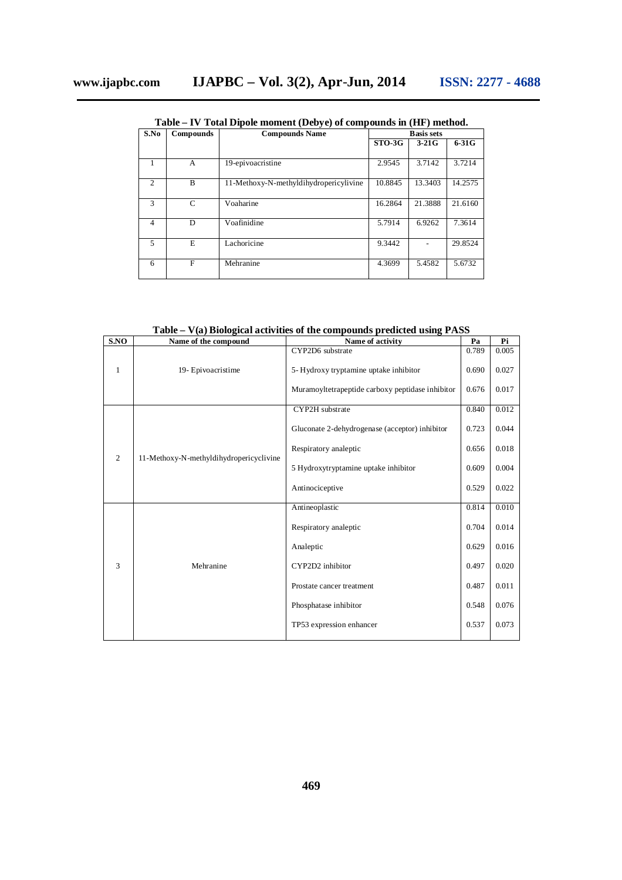| S.No           | Compounds | <b>Compounds Name</b>                  | <b>Basis sets</b> |         |         |
|----------------|-----------|----------------------------------------|-------------------|---------|---------|
|                |           |                                        | $STO-3G$          | $3-21G$ | $6-31G$ |
|                | A         | 19-epivoacristine                      | 2.9545            | 3.7142  | 3.7214  |
| $\overline{c}$ | B         | 11-Methoxy-N-methyldihydropericylivine | 10.8845           | 13.3403 | 14.2575 |
| $\mathcal{R}$  | C         | Voaharine                              | 16.2864           | 21.3888 | 21.6160 |
| $\overline{4}$ | D         | Voafinidine                            | 5.7914            | 6.9262  | 7.3614  |
| $\overline{5}$ | E         | Lachoricine                            | 9.3442            |         | 29.8524 |
| 6              | F         | Mehranine                              | 4.3699            | 5.4582  | 5.6732  |

**Table – IV Total Dipole moment (Debye) of compounds in (HF) method.**

**Table – V(a) Biological activities of the compounds predicted using PASS**

| S.NO                | Name of the compound                                                                                                                                                                                                                                                                                                                                                                                                                                                                           | Name of activity | Pa    | Pi    |
|---------------------|------------------------------------------------------------------------------------------------------------------------------------------------------------------------------------------------------------------------------------------------------------------------------------------------------------------------------------------------------------------------------------------------------------------------------------------------------------------------------------------------|------------------|-------|-------|
|                     |                                                                                                                                                                                                                                                                                                                                                                                                                                                                                                | CYP2D6 substrate | 0.789 | 0.005 |
| 1                   | 19- Epivoacristime<br>5-Hydroxy tryptamine uptake inhibitor<br>Muramoyltetrapeptide carboxy peptidase inhibitor<br>CYP2H substrate<br>Gluconate 2-dehydrogenase (acceptor) inhibitor<br>Respiratory analeptic<br>11-Methoxy-N-methyldihydropericyclivine<br>5 Hydroxytryptamine uptake inhibitor<br>Antinociceptive<br>Antineoplastic<br>Respiratory analeptic<br>Analeptic<br>Mehranine<br>CYP2D2 inhibitor<br>Prostate cancer treatment<br>Phosphatase inhibitor<br>TP53 expression enhancer | 0.690            | 0.027 |       |
|                     |                                                                                                                                                                                                                                                                                                                                                                                                                                                                                                |                  | 0.676 | 0.017 |
|                     |                                                                                                                                                                                                                                                                                                                                                                                                                                                                                                |                  | 0.840 | 0.012 |
| $\overline{2}$<br>3 |                                                                                                                                                                                                                                                                                                                                                                                                                                                                                                |                  | 0.723 | 0.044 |
|                     |                                                                                                                                                                                                                                                                                                                                                                                                                                                                                                |                  | 0.656 | 0.018 |
|                     |                                                                                                                                                                                                                                                                                                                                                                                                                                                                                                |                  | 0.609 | 0.004 |
|                     |                                                                                                                                                                                                                                                                                                                                                                                                                                                                                                |                  | 0.529 | 0.022 |
|                     |                                                                                                                                                                                                                                                                                                                                                                                                                                                                                                |                  | 0.814 | 0.010 |
|                     |                                                                                                                                                                                                                                                                                                                                                                                                                                                                                                |                  |       |       |
|                     |                                                                                                                                                                                                                                                                                                                                                                                                                                                                                                |                  | 0.704 | 0.014 |
|                     |                                                                                                                                                                                                                                                                                                                                                                                                                                                                                                |                  | 0.629 | 0.016 |
|                     |                                                                                                                                                                                                                                                                                                                                                                                                                                                                                                |                  | 0.497 | 0.020 |
|                     |                                                                                                                                                                                                                                                                                                                                                                                                                                                                                                |                  | 0.487 | 0.011 |
|                     |                                                                                                                                                                                                                                                                                                                                                                                                                                                                                                |                  | 0.548 | 0.076 |
|                     |                                                                                                                                                                                                                                                                                                                                                                                                                                                                                                |                  | 0.537 | 0.073 |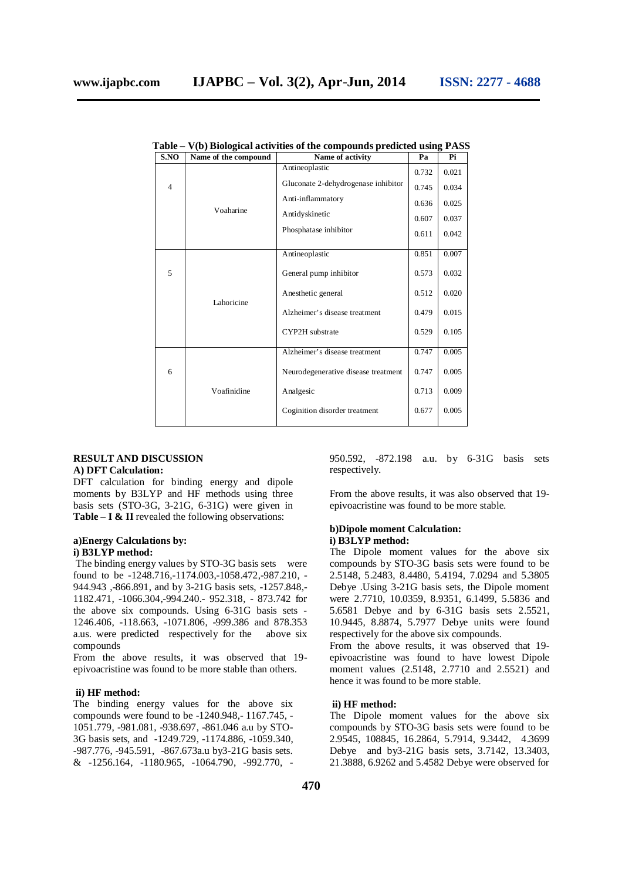| S.NO           | Name of the compound | Name of activity                    | Pa    | Pi    |
|----------------|----------------------|-------------------------------------|-------|-------|
|                |                      | Antineoplastic                      | 0.732 | 0.021 |
| $\overline{4}$ |                      | Gluconate 2-dehydrogenase inhibitor | 0.745 | 0.034 |
|                |                      | Anti-inflammatory                   | 0.636 | 0.025 |
|                | Voaharine            | Antidyskinetic                      | 0.607 | 0.037 |
|                |                      | Phosphatase inhibitor               | 0.611 | 0.042 |
|                |                      | Antineoplastic                      | 0.851 | 0.007 |
| 5              |                      | General pump inhibitor              | 0.573 | 0.032 |
|                | Lahoricine           | Anesthetic general                  | 0.512 | 0.020 |
|                |                      | Alzheimer's disease treatment       | 0.479 | 0.015 |
|                |                      | CYP2H substrate                     | 0.529 | 0.105 |
|                |                      | Alzheimer's disease treatment       | 0.747 | 0.005 |
| 6              |                      | Neurodegenerative disease treatment | 0.747 | 0.005 |
|                | Voafinidine          | Analgesic                           | 0.713 | 0.009 |
|                |                      | Coginition disorder treatment       | 0.677 | 0.005 |
|                |                      |                                     |       |       |

**Table – V(b) Biological activities of the compounds predicted using PASS**

#### **RESULT AND DISCUSSION A) DFT Calculation:**

DFT calculation for binding energy and dipole moments by B3LYP and HF methods using three basis sets (STO-3G, 3-21G, 6-31G) were given in **Table – I & II** revealed the following observations:

#### **a)Energy Calculations by: i) B3LYP method:**

The binding energy values by STO-3G basis sets were found to be -1248.716,-1174.003,-1058.472,-987.210, - 944.943 ,-866.891, and by 3-21G basis sets, -1257.848,- 1182.471, -1066.304,-994.240.- 952.318, - 873.742 for the above six compounds. Using 6-31G basis sets - 1246.406, -118.663, -1071.806, -999.386 and 878.353 a.us. were predicted respectively for the above six compounds

From the above results, it was observed that 19 epivoacristine was found to be more stable than others.

#### **ii) HF method:**

The binding energy values for the above six compounds were found to be -1240.948,- 1167.745, - 1051.779, -981.081, -938.697, -861.046 a.u by STO-3G basis sets, and -1249.729, -1174.886, -1059.340, -987.776, -945.591, -867.673a.u by3-21G basis sets. & -1256.164, -1180.965, -1064.790, -992.770, - 950.592, -872.198 a.u. by 6-31G basis sets respectively.

From the above results, it was also observed that 19 epivoacristine was found to be more stable.

#### **b)Dipole moment Calculation: i) B3LYP method:**

The Dipole moment values for the above six compounds by STO-3G basis sets were found to be 2.5148, 5.2483, 8.4480, 5.4194, 7.0294 and 5.3805 Debye .Using 3-21G basis sets, the Dipole moment were 2.7710, 10.0359, 8.9351, 6.1499, 5.5836 and 5.6581 Debye and by 6-31G basis sets 2.5521, 10.9445, 8.8874, 5.7977 Debye units were found respectively for the above six compounds.

From the above results, it was observed that 19 epivoacristine was found to have lowest Dipole moment values (2.5148, 2.7710 and 2.5521) and hence it was found to be more stable.

#### **ii) HF method:**

The Dipole moment values for the above six compounds by STO-3G basis sets were found to be 2.9545, 108845, 16.2864, 5.7914, 9.3442, 4.3699 Debye and by3-21G basis sets, 3.7142, 13.3403, 21.3888, 6.9262 and 5.4582 Debye were observed for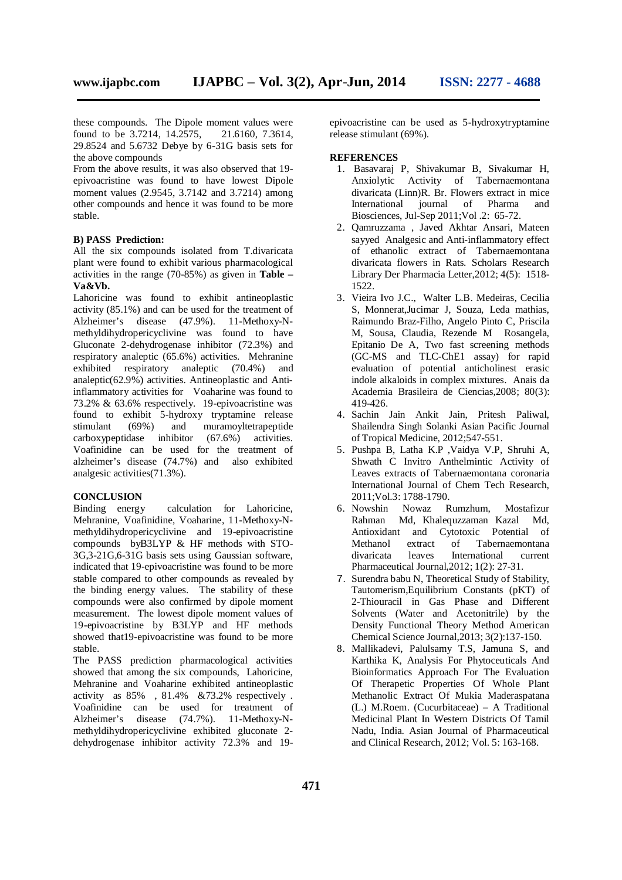these compounds. The Dipole moment values were found to be 3.7214, 14.2575, 21.6160, 7.3614, 29.8524 and 5.6732 Debye by 6-31G basis sets for the above compounds

From the above results, it was also observed that 19 epivoacristine was found to have lowest Dipole moment values (2.9545, 3.7142 and 3.7214) among other compounds and hence it was found to be more stable.

## **B) PASS Prediction:**

All the six compounds isolated from T.divaricata plant were found to exhibit various pharmacological activities in the range (70-85%) as given in **Table – Va&Vb.**

Lahoricine was found to exhibit antineoplastic activity (85.1%) and can be used for the treatment of Alzheimer's disease (47.9%). 11-Methoxy-Nmethyldihydropericyclivine was found to have Gluconate 2-dehydrogenase inhibitor (72.3%) and respiratory analeptic (65.6%) activities. Mehranine exhibited respiratory analeptic (70.4%) and analeptic(62.9%) activities. Antineoplastic and Antiinflammatory activities for Voaharine was found to 73.2% & 63.6% respectively. 19-epivoacristine was found to exhibit 5-hydroxy tryptamine release stimulant (69%) and muramoyltetrapeptide carboxypeptidase inhibitor (67.6%) activities. Voafinidine can be used for the treatment of alzheimer's disease (74.7%) and also exhibited analgesic activities(71.3%).

## **CONCLUSION**

Binding energy calculation for Lahoricine, Mehranine, Voafinidine, Voaharine, 11-Methoxy-Nmethyldihydropericyclivine and 19-epivoacristine compounds byB3LYP & HF methods with STO-3G,3-21G,6-31G basis sets using Gaussian software, indicated that 19-epivoacristine was found to be more stable compared to other compounds as revealed by the binding energy values. The stability of these compounds were also confirmed by dipole moment measurement. The lowest dipole moment values of 19-epivoacristine by B3LYP and HF methods showed that19-epivoacristine was found to be more stable.

The PASS prediction pharmacological activities showed that among the six compounds, Lahoricine, Mehranine and Voaharine exhibited antineoplastic activity as 85% , 81.4% &73.2% respectively . Voafinidine can be used for treatment of Alzheimer's disease (74.7%). 11-Methoxy-Nmethyldihydropericyclivine exhibited gluconate 2 dehydrogenase inhibitor activity 72.3% and 19-

epivoacristine can be used as 5-hydroxytryptamine release stimulant (69%).

## **REFERENCES**

- 1. Basavaraj P, Shivakumar B, Sivakumar H, Anxiolytic Activity of Tabernaemontana divaricata (Linn)R. Br. Flowers extract in mice International journal of Pharma and Biosciences, Jul-Sep 2011;Vol .2: 65-72.
- 2. Qamruzzama , Javed Akhtar Ansari, Mateen sayyed Analgesic and Anti-inflammatory effect of ethanolic extract of Tabernaemontana divaricata flowers in Rats. Scholars Research Library Der Pharmacia Letter,2012; 4(5): 1518- 1522.
- 3. Vieira Ivo J.C., Walter L.B. Medeiras, Cecilia S, Monnerat,Jucimar J, Souza, Leda mathias, Raimundo Braz-Filho, Angelo Pinto C, Priscila M, Sousa, Claudia, Rezende M Rosangela, Epitanio De A, Two fast screening methods (GC-MS and TLC-ChE1 assay) for rapid evaluation of potential anticholinest erasic indole alkaloids in complex mixtures. Anais da Academia Brasileira de Ciencias,2008; 80(3): 419-426.
- 4. Sachin Jain Ankit Jain, Pritesh Paliwal, Shailendra Singh Solanki Asian Pacific Journal of Tropical Medicine, 2012;547-551.
- 5. Pushpa B, Latha K.P ,Vaidya V.P, Shruhi A, Shwath C Invitro Anthelmintic Activity of Leaves extracts of Tabernaemontana coronaria International Journal of Chem Tech Research, 2011; Vol.3: 1788-1790.<br>6. Nowshin Nowaz R
- 6. Nowshin Nowaz Rumzhum, Mostafizur Md, Khalequzzaman Kazal Md, Antioxidant and Cytotoxic Potential of Methanol extract of Tabernaemontana<br>divaricata leaves International current International current Pharmaceutical Journal,2012; 1(2): 27-31.
- 7. Surendra babu N, Theoretical Study of Stability, Tautomerism,Equilibrium Constants (pKT) of 2-Thiouracil in Gas Phase and Different Solvents (Water and Acetonitrile) by the Density Functional Theory Method American Chemical Science Journal,2013; 3(2):137-150.
- 8. Mallikadevi, Palulsamy T.S, Jamuna S, and Karthika K, Analysis For Phytoceuticals And Bioinformatics Approach For The Evaluation Of Therapetic Properties Of Whole Plant Methanolic Extract Of Mukia Maderaspatana (L.) M.Roem. (Cucurbitaceae) – A Traditional Medicinal Plant In Western Districts Of Tamil Nadu, India. Asian Journal of Pharmaceutical and Clinical Research, 2012; Vol. 5: 163-168.